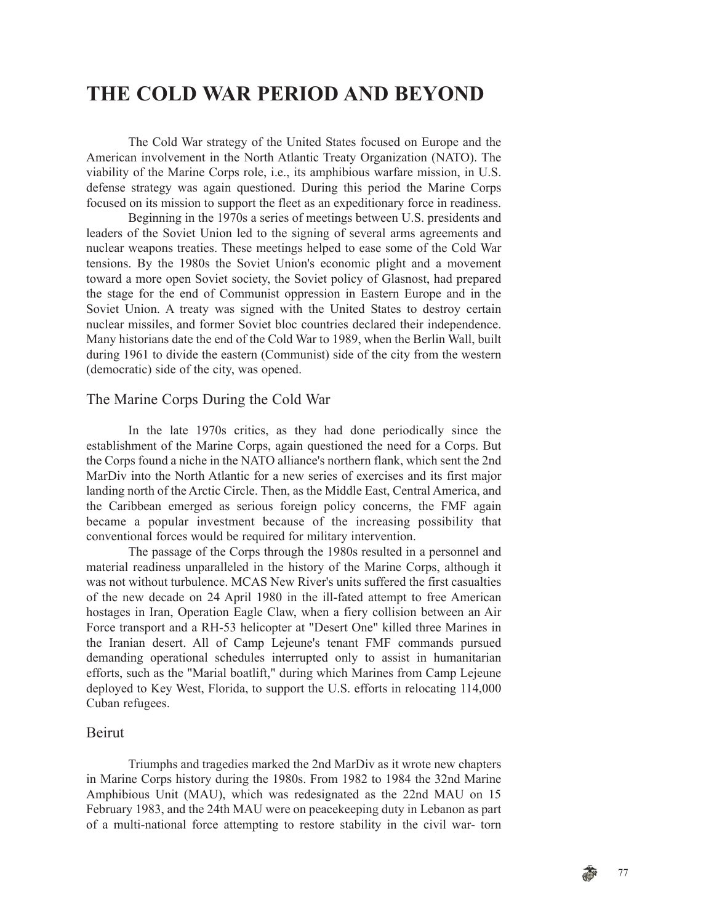# **THE COLD WAR PERIOD AND BEYOND**

The Cold War strategy of the United States focused on Europe and the American involvement in the North Atlantic Treaty Organization (NATO). The viability of the Marine Corps role, i.e., its amphibious warfare mission, in U.S. defense strategy was again questioned. During this period the Marine Corps focused on its mission to support the fleet as an expeditionary force in readiness.

Beginning in the 1970s a series of meetings between U.S. presidents and leaders of the Soviet Union led to the signing of several arms agreements and nuclear weapons treaties. These meetings helped to ease some of the Cold War tensions. By the 1980s the Soviet Union's economic plight and a movement toward a more open Soviet society, the Soviet policy of Glasnost, had prepared the stage for the end of Communist oppression in Eastern Europe and in the Soviet Union. A treaty was signed with the United States to destroy certain nuclear missiles, and former Soviet bloc countries declared their independence. Many historians date the end of the Cold War to 1989, when the Berlin Wall, built during 1961 to divide the eastern (Communist) side of the city from the western (democratic) side of the city, was opened.

# The Marine Corps During the Cold War

In the late 1970s critics, as they had done periodically since the establishment of the Marine Corps, again questioned the need for a Corps. But the Corps found a niche in the NATO alliance's northern flank, which sent the 2nd MarDiv into the North Atlantic for a new series of exercises and its first major landing north of the Arctic Circle. Then, as the Middle East, Central America, and the Caribbean emerged as serious foreign policy concerns, the FMF again became a popular investment because of the increasing possibility that conventional forces would be required for military intervention.

The passage of the Corps through the 1980s resulted in a personnel and material readiness unparalleled in the history of the Marine Corps, although it was not without turbulence. MCAS New River's units suffered the first casualties of the new decade on 24 April 1980 in the ill-fated attempt to free American hostages in Iran, Operation Eagle Claw, when a fiery collision between an Air Force transport and a RH-53 helicopter at "Desert One" killed three Marines in the Iranian desert. All of Camp Lejeune's tenant FMF commands pursued demanding operational schedules interrupted only to assist in humanitarian efforts, such as the "Marial boatlift," during which Marines from Camp Lejeune deployed to Key West, Florida, to support the U.S. efforts in relocating 114,000 Cuban refugees.

## Beirut

Triumphs and tragedies marked the 2nd MarDiv as it wrote new chapters in Marine Corps history during the 1980s. From 1982 to 1984 the 32nd Marine Amphibious Unit (MAU), which was redesignated as the 22nd MAU on 15 February 1983, and the 24th MAU were on peacekeeping duty in Lebanon as part of a multi-national force attempting to restore stability in the civil war- torn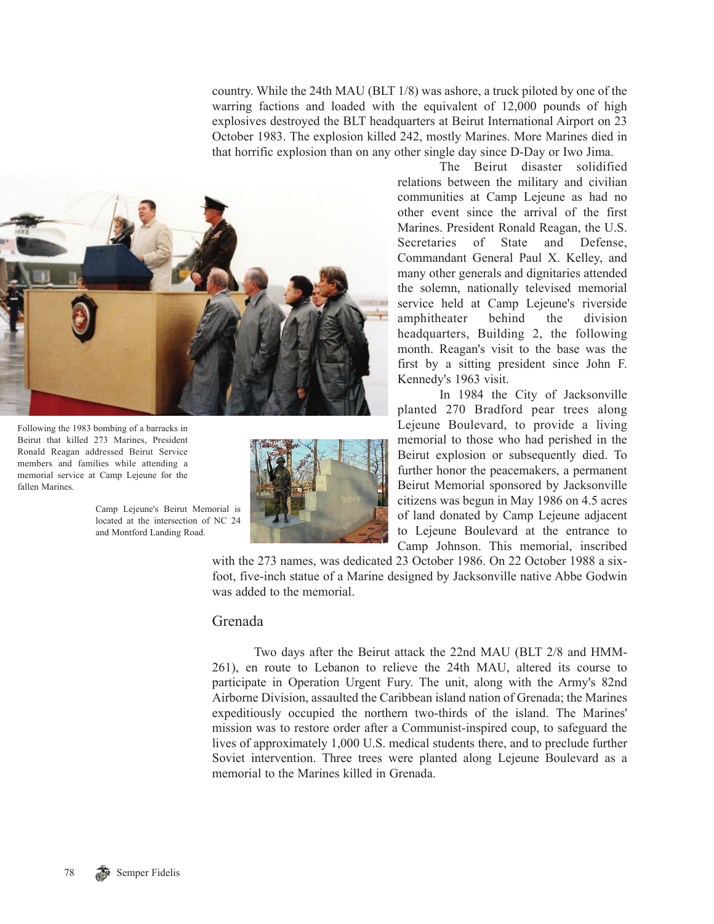country. While the 24th MAU (BLT 1/8) was ashore, a truck piloted by one of the warring factions and loaded with the equivalent of 12,000 pounds of high explosives destroyed the BLT headquarters at Beirut International Airport on 23 October 1983. The explosion killed 242, mostly Marines. More Marines died in that horrific explosion than on any other single day since D-Day or Iwo Jima.



Following the 1983 bombing of a barracks in Beirut that killed 273 Marines, President Ronald Reagan addressed Beirut Service members and families while attending a memorial service at Camp Lejeune for the fallen Marines.

> Camp Lejeune's Beirut Memorial is located at the intersection of NC 24 and Montford Landing Road.



The Beirut disaster solidified relations between the military and civilian communities at Camp Lejeune as had no other event since the arrival of the first Marines. President Ronald Reagan, the U.S. Secretaries of State and Defense, Commandant General Paul X. Kelley, and many other generals and dignitaries attended the solemn, nationally televised memorial service held at Camp Lejeune's riverside amphitheater behind the division headquarters, Building 2, the following month. Reagan's visit to the base was the first by a sitting president since John F. Kennedy's 1963 visit.

In 1984 the City of Jacksonville planted 270 Bradford pear trees along Lejeune Boulevard, to provide a living memorial to those who had perished in the Beirut explosion or subsequently died. To further honor the peacemakers, a permanent Beirut Memorial sponsored by Jacksonville citizens was begun in May 1986 on 4.5 acres of land donated by Camp Lejeune adjacent to Lejeune Boulevard at the entrance to Camp Johnson. This memorial, inscribed

with the 273 names, was dedicated 23 October 1986. On 22 October 1988 a sixfoot, five-inch statue of a Marine designed by Jacksonville native Abbe Godwin was added to the memorial.

### Grenada

Two days after the Beirut attack the 22nd MAU (BLT 2/8 and HMM-261), en route to Lebanon to relieve the 24th MAU, altered its course to participate in Operation Urgent Fury. The unit, along with the Army's 82nd Airborne Division, assaulted the Caribbean island nation of Grenada; the Marines expeditiously occupied the northern two-thirds of the island. The Marines' mission was to restore order after a Communist-inspired coup, to safeguard the lives of approximately 1,000 U.S. medical students there, and to preclude further Soviet intervention. Three trees were planted along Lejeune Boulevard as a memorial to the Marines killed in Grenada.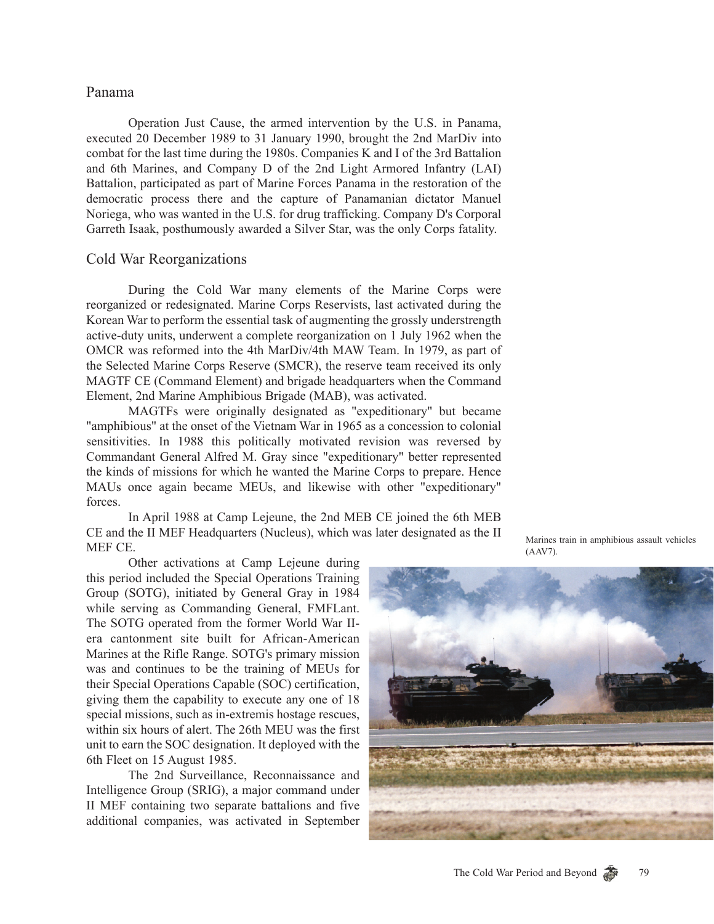#### Panama

Operation Just Cause, the armed intervention by the U.S. in Panama, executed 20 December 1989 to 31 January 1990, brought the 2nd MarDiv into combat for the last time during the 1980s. Companies K and I of the 3rd Battalion and 6th Marines, and Company D of the 2nd Light Armored Infantry (LAI) Battalion, participated as part of Marine Forces Panama in the restoration of the democratic process there and the capture of Panamanian dictator Manuel Noriega, who was wanted in the U.S. for drug trafficking. Company D's Corporal Garreth Isaak, posthumously awarded a Silver Star, was the only Corps fatality.

#### Cold War Reorganizations

During the Cold War many elements of the Marine Corps were reorganized or redesignated. Marine Corps Reservists, last activated during the Korean War to perform the essential task of augmenting the grossly understrength active-duty units, underwent a complete reorganization on 1 July 1962 when the OMCR was reformed into the 4th MarDiv/4th MAW Team. In 1979, as part of the Selected Marine Corps Reserve (SMCR), the reserve team received its only MAGTF CE (Command Element) and brigade headquarters when the Command Element, 2nd Marine Amphibious Brigade (MAB), was activated.

MAGTFs were originally designated as "expeditionary" but became "amphibious" at the onset of the Vietnam War in 1965 as a concession to colonial sensitivities. In 1988 this politically motivated revision was reversed by Commandant General Alfred M. Gray since "expeditionary" better represented the kinds of missions for which he wanted the Marine Corps to prepare. Hence MAUs once again became MEUs, and likewise with other "expeditionary" forces.

In April 1988 at Camp Lejeune, the 2nd MEB CE joined the 6th MEB CE and the II MEF Headquarters (Nucleus), which was later designated as the II MEF CE.

Other activations at Camp Lejeune during this period included the Special Operations Training Group (SOTG), initiated by General Gray in 1984 while serving as Commanding General, FMFLant. The SOTG operated from the former World War IIera cantonment site built for African-American Marines at the Rifle Range. SOTG's primary mission was and continues to be the training of MEUs for their Special Operations Capable (SOC) certification, giving them the capability to execute any one of 18 special missions, such as in-extremis hostage rescues, within six hours of alert. The 26th MEU was the first unit to earn the SOC designation. It deployed with the 6th Fleet on 15 August 1985.

The 2nd Surveillance, Reconnaissance and Intelligence Group (SRIG), a major command under II MEF containing two separate battalions and five additional companies, was activated in September

Marines train in amphibious assault vehicles (AAV7).

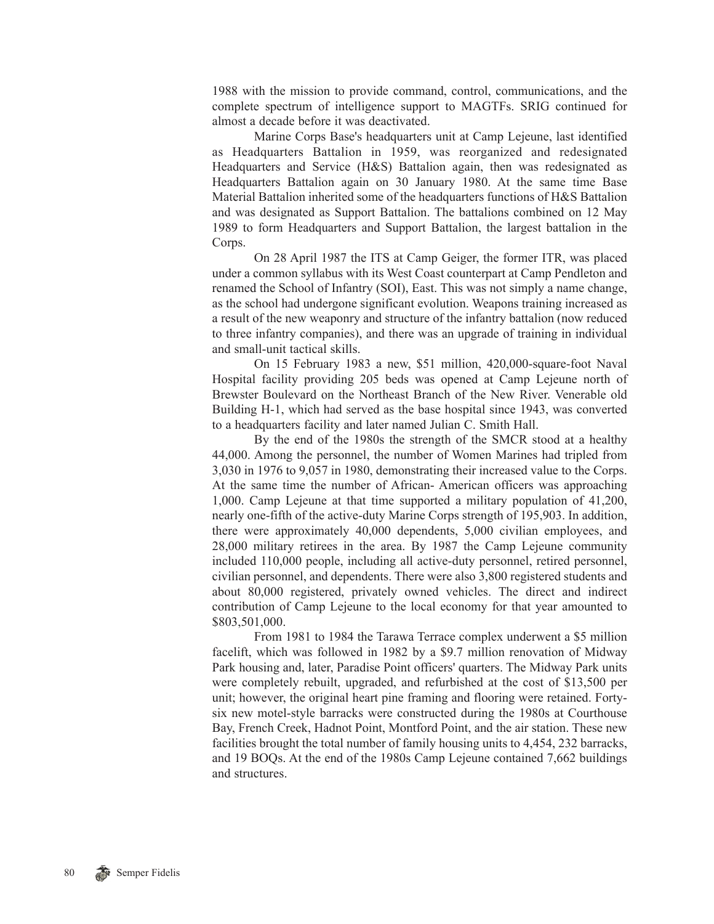1988 with the mission to provide command, control, communications, and the complete spectrum of intelligence support to MAGTFs. SRIG continued for almost a decade before it was deactivated.

Marine Corps Base's headquarters unit at Camp Lejeune, last identified as Headquarters Battalion in 1959, was reorganized and redesignated Headquarters and Service (H&S) Battalion again, then was redesignated as Headquarters Battalion again on 30 January 1980. At the same time Base Material Battalion inherited some of the headquarters functions of H&S Battalion and was designated as Support Battalion. The battalions combined on 12 May 1989 to form Headquarters and Support Battalion, the largest battalion in the Corps.

On 28 April 1987 the ITS at Camp Geiger, the former ITR, was placed under a common syllabus with its West Coast counterpart at Camp Pendleton and renamed the School of Infantry (SOI), East. This was not simply a name change, as the school had undergone significant evolution. Weapons training increased as a result of the new weaponry and structure of the infantry battalion (now reduced to three infantry companies), and there was an upgrade of training in individual and small-unit tactical skills.

On 15 February 1983 a new, \$51 million, 420,000-square-foot Naval Hospital facility providing 205 beds was opened at Camp Lejeune north of Brewster Boulevard on the Northeast Branch of the New River. Venerable old Building H-1, which had served as the base hospital since 1943, was converted to a headquarters facility and later named Julian C. Smith Hall.

By the end of the 1980s the strength of the SMCR stood at a healthy 44,000. Among the personnel, the number of Women Marines had tripled from 3,030 in 1976 to 9,057 in 1980, demonstrating their increased value to the Corps. At the same time the number of African- American officers was approaching 1,000. Camp Lejeune at that time supported a military population of 41,200, nearly one-fifth of the active-duty Marine Corps strength of 195,903. In addition, there were approximately 40,000 dependents, 5,000 civilian employees, and 28,000 military retirees in the area. By 1987 the Camp Lejeune community included 110,000 people, including all active-duty personnel, retired personnel, civilian personnel, and dependents. There were also 3,800 registered students and about 80,000 registered, privately owned vehicles. The direct and indirect contribution of Camp Lejeune to the local economy for that year amounted to \$803,501,000.

From 1981 to 1984 the Tarawa Terrace complex underwent a \$5 million facelift, which was followed in 1982 by a \$9.7 million renovation of Midway Park housing and, later, Paradise Point officers' quarters. The Midway Park units were completely rebuilt, upgraded, and refurbished at the cost of \$13,500 per unit; however, the original heart pine framing and flooring were retained. Fortysix new motel-style barracks were constructed during the 1980s at Courthouse Bay, French Creek, Hadnot Point, Montford Point, and the air station. These new facilities brought the total number of family housing units to 4,454, 232 barracks, and 19 BOQs. At the end of the 1980s Camp Lejeune contained 7,662 buildings and structures.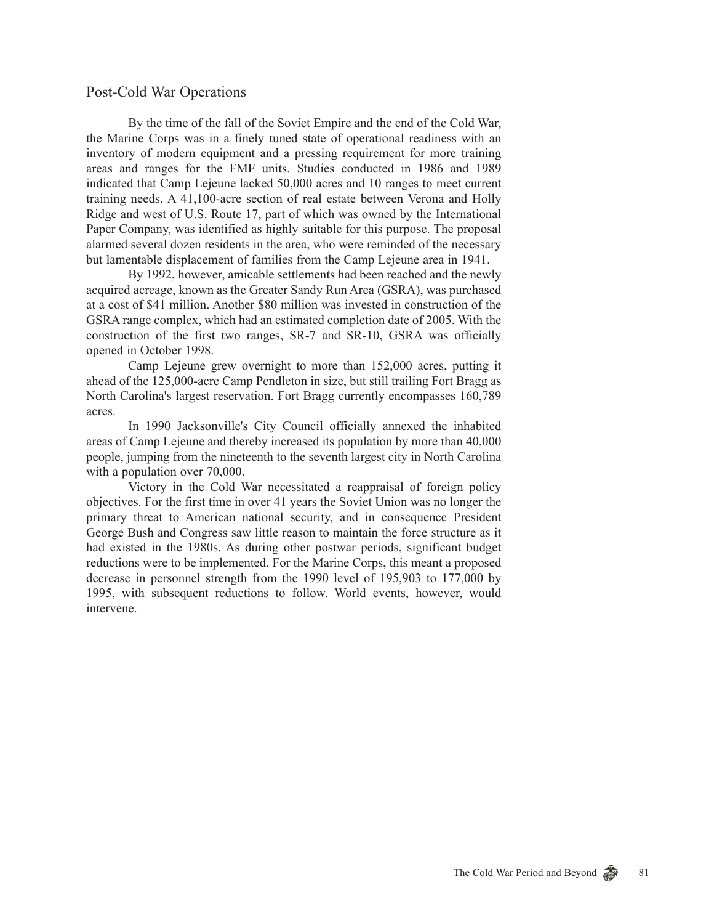## Post-Cold War Operations

By the time of the fall of the Soviet Empire and the end of the Cold War, the Marine Corps was in a finely tuned state of operational readiness with an inventory of modern equipment and a pressing requirement for more training areas and ranges for the FMF units. Studies conducted in 1986 and 1989 indicated that Camp Lejeune lacked 50,000 acres and 10 ranges to meet current training needs. A 41,100-acre section of real estate between Verona and Holly Ridge and west of U.S. Route 17, part of which was owned by the International Paper Company, was identified as highly suitable for this purpose. The proposal alarmed several dozen residents in the area, who were reminded of the necessary but lamentable displacement of families from the Camp Lejeune area in 1941.

By 1992, however, amicable settlements had been reached and the newly acquired acreage, known as the Greater Sandy Run Area (GSRA), was purchased at a cost of \$41 million. Another \$80 million was invested in construction of the GSRA range complex, which had an estimated completion date of 2005. With the construction of the first two ranges, SR-7 and SR-10, GSRA was officially opened in October 1998.

Camp Lejeune grew overnight to more than 152,000 acres, putting it ahead of the 125,000-acre Camp Pendleton in size, but still trailing Fort Bragg as North Carolina's largest reservation. Fort Bragg currently encompasses 160,789 acres.

In 1990 Jacksonville's City Council officially annexed the inhabited areas of Camp Lejeune and thereby increased its population by more than 40,000 people, jumping from the nineteenth to the seventh largest city in North Carolina with a population over 70,000.

Victory in the Cold War necessitated a reappraisal of foreign policy objectives. For the first time in over 41 years the Soviet Union was no longer the primary threat to American national security, and in consequence President George Bush and Congress saw little reason to maintain the force structure as it had existed in the 1980s. As during other postwar periods, significant budget reductions were to be implemented. For the Marine Corps, this meant a proposed decrease in personnel strength from the 1990 level of 195,903 to 177,000 by 1995, with subsequent reductions to follow. World events, however, would intervene.